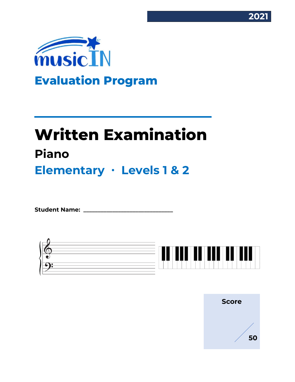



# **Written Examination Piano Elementary ∙ Levels 1 & 2**

Student Name:



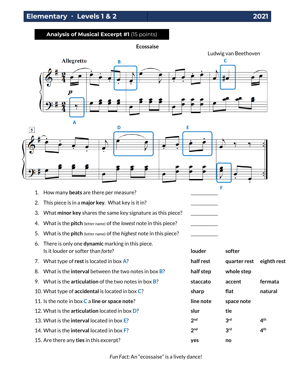#### **Analysis of Musical Excerpt #1** (15 points)

**Ecossaise**





- 1. How many **beats** are there per measure?
- 2. This piece is in a major key. What key is it in?
- 3. What minor key shares the same key signature as this piece?
- 4. What is the **pitch** (letter name) of the *lowest* note in this piece?
- 5. What is the **pitch** (letter name) of the *highest* note in this piece?
- 6. There is only one **dynamic** marking in this piece. **ls it louder or softer than** *forte***? <b>local contract in the local contract of local contract in the local contract of local contract in the local contract of local contract of local contract of local contract of local con**
- 7. What type of **rest** is located in box **A**?
- 8. What is the **interval** between the two notes in box **B**?
- 9. What is the **articulation** of the two notes in box **B**?
- 10. What type of **accidental** is located in box **C**?
- 11. Is the note in box **C** a **line or space note**? **line note space note**
- 12. What is the **articulation** located in box **D**?
- 13. What is the **interval** located in box **E**? **2**
- 14. What is the **interval** located in box **F**? **2**
- 15. Are there any **ties** in this excerpt? **yes no**

| louder            | softer                   |                 |
|-------------------|--------------------------|-----------------|
| half rest         | quarter rest eighth rest |                 |
| half step         | whole step               |                 |
| staccato          | accent                   | fermata         |
| sharp             | flat                     | natural         |
| ine note          | space note               |                 |
| slur              | tie                      |                 |
| $2^{\mathsf{nd}}$ | 3 <sup>rd</sup>          | 4 <sup>th</sup> |
| $2^{\mathsf{nd}}$ | 3 <sup>rd</sup>          | 4 <sup>th</sup> |
| ves               | no                       |                 |

**F**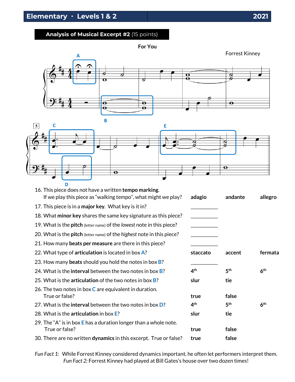## **Analysis of Musical Excerpt #2** (15 points)

**For You**





| D<br>16. This piece does not have a written tempo marking.                           |                 |                 |                 |
|--------------------------------------------------------------------------------------|-----------------|-----------------|-----------------|
| If we play this piece as "walking tempo", what might we play?                        | adagio          | andante         | allegro         |
| 17. This piece is in a major key. What key is it in?                                 |                 |                 |                 |
| 18. What minor key shares the same key signature as this piece?                      |                 |                 |                 |
| 19. What is the <b>pitch</b> (letter name) of the lowest note in this piece?         |                 |                 |                 |
| 20. What is the <b>pitch</b> (letter name) of the <i>highest</i> note in this piece? |                 |                 |                 |
| 21. How many <b>beats per measure</b> are there in this piece?                       |                 |                 |                 |
| 22. What type of articulation is located in box A?                                   | staccato        | accent          | fermata         |
| 23. How many beats should you hold the notes in box <b>B</b> ?                       |                 |                 |                 |
| 24. What is the <b>interval</b> between the two notes in box <b>B</b> ?              | 4 <sup>th</sup> | 5 <sup>th</sup> | 6 <sup>th</sup> |
| 25. What is the <b>articulation</b> of the two notes in box <b>B</b> ?               | slur            | tie             |                 |
| 26. The two notes in box $C$ are equivalent in duration.                             |                 |                 |                 |
| True or false?                                                                       | true            | false           |                 |
| 27. What is the <b>interval</b> between the two notes in box <b>D</b> ?              | 4 <sup>th</sup> | 5 <sup>th</sup> | 6 <sup>th</sup> |
| 28. What is the articulation in box E?                                               | slur            | tie             |                 |
| 29. The "A" is in box $E$ has a duration longer than a whole note.                   |                 |                 |                 |
| True or false?                                                                       | true            | false           |                 |
| 30. There are no written dynamics in this excerpt. True or false?                    | true            | false           |                 |

*Fun Fact 1:* While Forrest Kinney considered dynamics important, he often let performers interpret them. *Fun Fact 2:* Forrest Kinney had played at Bill Gates's house over two dozen times!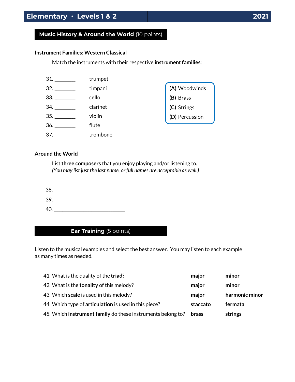### **Music History & Around the World** (10 points)

#### **Instrument Families: Western Classical**

Match the instruments with their respective **instrument families**:

| 31. | trumpet  |                |
|-----|----------|----------------|
| 32. | timpani  | (A) Woodwinds  |
| 33. | cello    | (B)<br>Brass   |
| 34. | clarinet | (C) Strings    |
| 35. | violin   | (D) Percussion |
| 36. | flute    |                |
| 37. | trombone |                |

#### **Around the World**

List **three composers** that you enjoy playing and/or listening to. *(You may list just the last name, or full names are acceptable as well.)*

| 38. |  |  |
|-----|--|--|
| 39. |  |  |
| 40. |  |  |

## **Ear Training** (5 points)

Listen to the musical examples and select the best answer. You may listen to each example as many times as needed.

| 41. What is the quality of the triad?                       | major        | minor          |
|-------------------------------------------------------------|--------------|----------------|
| 42. What is the <b>tonality</b> of this melody?             | major        | minor          |
| 43. Which scale is used in this melody?                     | major        | harmonic minor |
| 44. Which type of articulation is used in this piece?       | staccato     | fermata        |
| 45. Which instrument family do these instruments belong to? | <b>brass</b> | strings        |